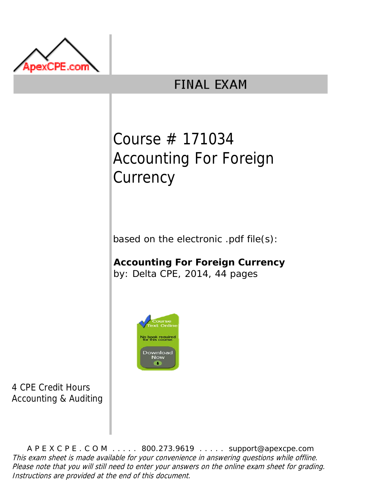

# **FINAL EXAM**

# Course # 171034 Accounting For Foreign **Currency**

based on the electronic .pdf file(s):

**Accounting For Foreign Currency** by: Delta CPE, 2014, 44 pages



4 CPE Credit Hours Accounting & Auditing

A P E X C P E . C O M . . . . . 800.273.9619 . . . . . support@apexcpe.com This exam sheet is made available for your convenience in answering questions while offline. Please note that you will still need to enter your answers on the online exam sheet for grading. Instructions are provided at the end of this document.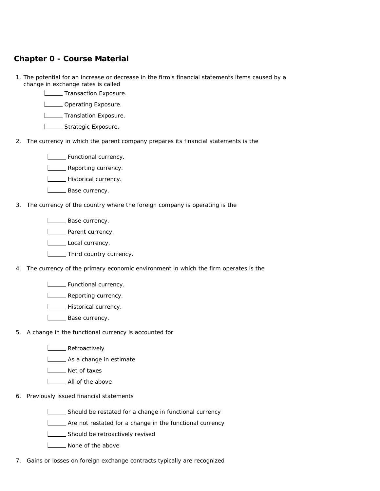## **Chapter 0 - Course Material**

- 1. The potential for an increase or decrease in the firm's financial statements items caused by a change in exchange rates is called
	- **Transaction Exposure.**
	- **LETT** Operating Exposure.
	- **LETTE** Translation Exposure.
	- **LETTE** Strategic Exposure.
- 2. The currency in which the parent company prepares its financial statements is the
	- **LETTE** Functional currency.
	- **LETT** Reporting currency.
	- **Historical currency.**
	- L\_\_\_\_\_\_ Base currency.
- 3. The currency of the country where the foreign company is operating is the
	- **LETT** Base currency.
	- **LETT** Parent currency.
	- Local currency.
	- **LETTE** Third country currency.
- 4. The currency of the primary economic environment in which the firm operates is the
	- **LETTE** Functional currency.
	- **LETT** Reporting currency.
	- **LECTE** Historical currency.
	- **L** Base currency.
- 5. A change in the functional currency is accounted for
	- **L\_\_\_\_\_** Retroactively
	- **Letter** As a change in estimate
	- Net of taxes
	- **L** All of the above
- 6. Previously issued financial statements
	- Should be restated for a change in functional currency
	- **LETT** Are not restated for a change in the functional currency
	- **LETTE** Should be retroactively revised
	- None of the above
- 7. Gains or losses on foreign exchange contracts typically are recognized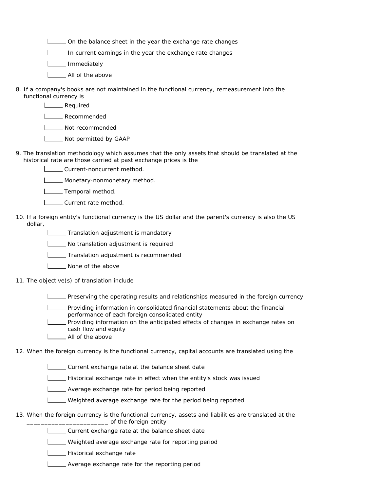On the balance sheet in the year the exchange rate changes

In current earnings in the year the exchange rate changes

L\_\_\_\_\_ Immediately

- **L**\_\_\_\_\_ All of the above
- 8. If a company's books are not maintained in the functional currency, remeasurement into the functional currency is
	- **Lequired**

**L**<br>Recommended

**Not recommended** 

- **LECT** Not permitted by GAAP
- 9. The translation methodology which assumes that the only assets that should be translated at the historical rate are those carried at past exchange prices is the
	- **LECURE Current-noncurrent method.**
	- **L\_\_\_\_\_** Monetary-nonmonetary method.
	- **LECTE** Temporal method.
	- **LETT** Current rate method.
- 10. If a foreign entity's functional currency is the US dollar and the parent's currency is also the US dollar,
	- **Translation adjustment is mandatory**
	- No translation adjustment is required
	- **Translation adjustment is recommended**
	- **L\_\_\_ None of the above**
- 11. The objective(s) of translation include

Preserving the operating results and relationships measured in the foreign currency

- Providing information in consolidated financial statements about the financial performance of each foreign consolidated entity
	- Providing information on the anticipated effects of changes in exchange rates on cash flow and equity
- **LETT** All of the above

12. When the foreign currency is the functional currency, capital accounts are translated using the

- Current exchange rate at the balance sheet date
- Historical exchange rate in effect when the entity's stock was issued
- Average exchange rate for period being reported
- Weighted average exchange rate for the period being reported
- 13. When the foreign currency is the functional currency, assets and liabilities are translated at the \_\_\_\_\_\_\_\_\_\_\_\_\_\_\_\_\_\_\_\_\_\_\_ of the foreign entity
	- Current exchange rate at the balance sheet date
	- Weighted average exchange rate for reporting period
	- **LECTE** Historical exchange rate
	- **LETT** Average exchange rate for the reporting period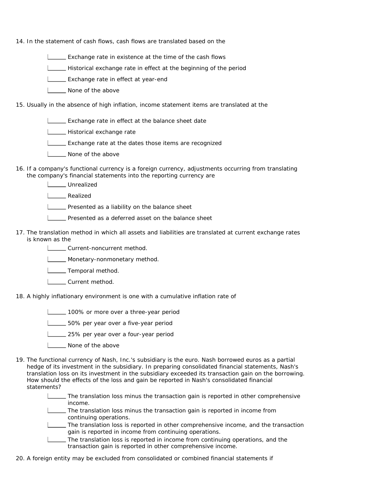14. In the statement of cash flows, cash flows are translated based on the

- **EXCHANGE CONSERVIAGO EXCHANGE CONSERVIATION** Exchange rate in existence at the time of the cash flows
- Historical exchange rate in effect at the beginning of the period
- **Exchange rate in effect at year-end**
- **None of the above**
- 15. Usually in the absence of high inflation, income statement items are translated at the
	- **Exchange rate in effect at the balance sheet date**
	- **Letter** Historical exchange rate
	- **LECTE** Exchange rate at the dates those items are recognized
	- **None of the above**
- 16. If a company's functional currency is a foreign currency, adjustments occurring from translating the company's financial statements into the reporting currency are
	- L**L**Unrealized

Realized

**LETT** Presented as a liability on the balance sheet

- **LECT** Presented as a deferred asset on the balance sheet
- 17. The translation method in which all assets and liabilities are translated at current exchange rates is known as the
	- Lourrent-noncurrent method.
	- **LETTE** Monetary-nonmonetary method.
	- **Lemporal method.**
	- Current method.
- 18. A highly inflationary environment is one with a cumulative inflation rate of
	- 100% or more over a three-year period
	- **L\_\_\_\_\_** 50% per year over a five-year period
	- **L\_\_\_\_\_ 25%** per year over a four-year period
	- **L** None of the above
- 19. The functional currency of Nash, Inc.'s subsidiary is the euro. Nash borrowed euros as a partial hedge of its investment in the subsidiary. In preparing consolidated financial statements, Nash's translation loss on its investment in the subsidiary exceeded its transaction gain on the borrowing. How should the effects of the loss and gain be reported in Nash's consolidated financial statements?
	- The translation loss minus the transaction gain is reported in other comprehensive income.
	- The translation loss minus the transaction gain is reported in income from continuing operations.
	- The translation loss is reported in other comprehensive income, and the transaction gain is reported in income from continuing operations.
	- The translation loss is reported in income from continuing operations, and the transaction gain is reported in other comprehensive income.
- 20. A foreign entity may be excluded from consolidated or combined financial statements if